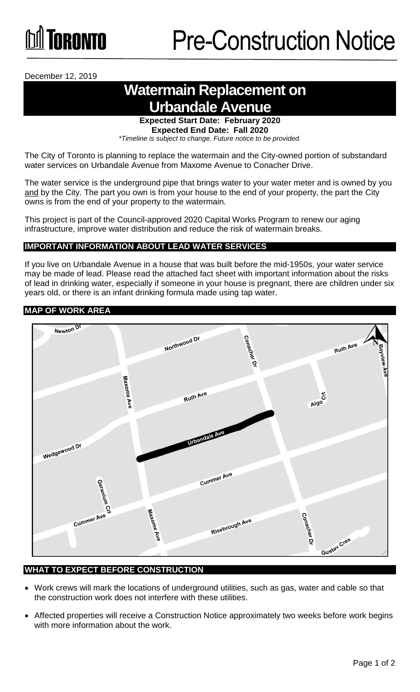# TORONTO

December 12, 2019

## **Watermain Replacement on Urbandale Avenue**

**Expected Start Date: February 2020 Expected End Date: Fall 2020** 

*\*Timeline is subject to change. Future notice to be provided.*

The City of Toronto is planning to replace the watermain and the City-owned portion of substandard water services on Urbandale Avenue from Maxome Avenue to Conacher Drive.

The water service is the underground pipe that brings water to your water meter and is owned by you and by the City. The part you own is from your house to the end of your property, the part the City owns is from the end of your property to the watermain.

This project is part of the Council-approved 2020 Capital Works Program to renew our aging infrastructure, improve water distribution and reduce the risk of watermain breaks.

### **IMPORTANT INFORMATION ABOUT LEAD WATER SERVICES**

If you live on Urbandale Avenue in a house that was built before the mid-1950s, your water service may be made of lead. Please read the attached fact sheet with important information about the risks of lead in drinking water, especially if someone in your house is pregnant, there are children under six years old, or there is an infant drinking formula made using tap water.

#### **MAP OF WORK AREA**



#### **WHAT TO EXPECT BEFORE CONSTRUCTION**

- Work crews will mark the locations of underground utilities, such as gas, water and cable so that the construction work does not interfere with these utilities.
- Affected properties will receive a Construction Notice approximately two weeks before work begins with more information about the work.  $\bullet$